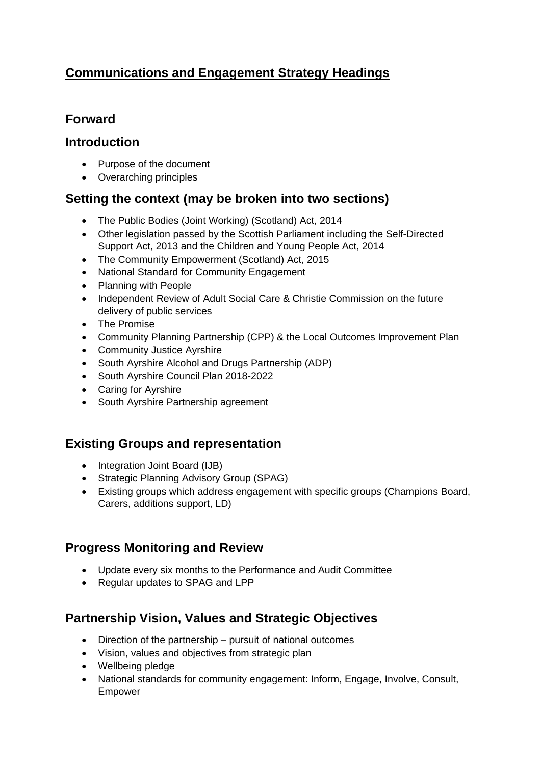# **Communications and Engagement Strategy Headings**

## **Forward**

#### **Introduction**

- Purpose of the document
- Overarching principles

## **Setting the context (may be broken into two sections)**

- The Public Bodies (Joint Working) (Scotland) Act, 2014
- Other legislation passed by the Scottish Parliament including the Self-Directed Support Act, 2013 and the Children and Young People Act, 2014
- The Community Empowerment (Scotland) Act, 2015
- National Standard for Community Engagement
- Planning with People
- Independent Review of Adult Social Care & Christie Commission on the future delivery of public services
- The Promise
- Community Planning Partnership (CPP) & the Local Outcomes Improvement Plan
- Community Justice Ayrshire
- South Ayrshire Alcohol and Drugs Partnership (ADP)
- South Ayrshire Council Plan 2018-2022
- Caring for Ayrshire
- South Ayrshire Partnership agreement

## **Existing Groups and representation**

- Integration Joint Board (IJB)
- Strategic Planning Advisory Group (SPAG)
- Existing groups which address engagement with specific groups (Champions Board, Carers, additions support, LD)

## **Progress Monitoring and Review**

- Update every six months to the Performance and Audit Committee
- Regular updates to SPAG and LPP

## **Partnership Vision, Values and Strategic Objectives**

- Direction of the partnership pursuit of national outcomes
- Vision, values and objectives from strategic plan
- Wellbeing pledge
- National standards for community engagement: Inform, Engage, Involve, Consult, Empower